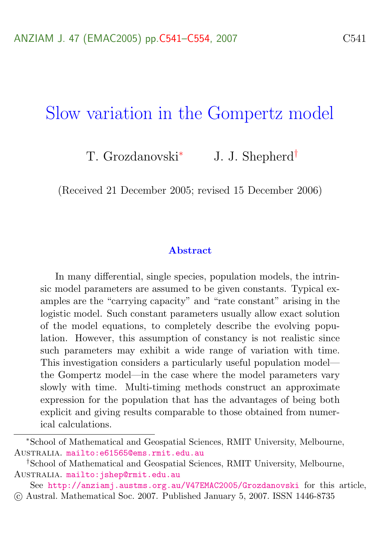## Slow variation in the Gompertz model

T. Grozdanovski<sup>∗</sup> J. J. Shepherd†

(Received 21 December 2005; revised 15 December 2006)

#### Abstract

In many differential, single species, population models, the intrinsic model parameters are assumed to be given constants. Typical examples are the "carrying capacity" and "rate constant" arising in the logistic model. Such constant parameters usually allow exact solution of the model equations, to completely describe the evolving population. However, this assumption of constancy is not realistic since such parameters may exhibit a wide range of variation with time. This investigation considers a particularly useful population model the Gompertz model—in the case where the model parameters vary slowly with time. Multi-timing methods construct an approximate expression for the population that has the advantages of being both explicit and giving results comparable to those obtained from numerical calculations.

<sup>∗</sup>School of Mathematical and Geospatial Sciences, RMIT University, Melbourne, Australia. <mailto:e61565@ems.rmit.edu.au>

<sup>†</sup>School of Mathematical and Geospatial Sciences, RMIT University, Melbourne, Australia. <mailto:jshep@rmit.edu.au>

See <http://anziamj.austms.org.au/V47EMAC2005/Grozdanovski> for this article, c Austral. Mathematical Soc. 2007. Published January 5, 2007. ISSN 1446-8735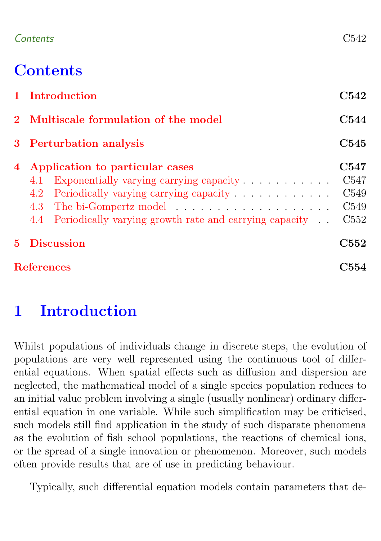### Contents C542

# **Contents**

|       | 1 Introduction                                              | C542             |
|-------|-------------------------------------------------------------|------------------|
|       | 2 Multiscale formulation of the model                       | C544             |
|       | 3 Perturbation analysis                                     | C545             |
| 4     | Application to particular cases                             | C547             |
|       | Exponentially varying carrying capacity<br>4.1              | C <sub>547</sub> |
|       | Periodically varying carrying capacity<br>4.2               | C <sub>549</sub> |
|       |                                                             | C <sub>549</sub> |
|       | 4.4 Periodically varying growth rate and carrying capacity. | C <sub>552</sub> |
| $5 -$ | <b>Discussion</b>                                           | C <sub>552</sub> |
|       | <b>References</b>                                           |                  |

# <span id="page-1-0"></span>1 Introduction

Whilst populations of individuals change in discrete steps, the evolution of populations are very well represented using the continuous tool of differential equations. When spatial effects such as diffusion and dispersion are neglected, the mathematical model of a single species population reduces to an initial value problem involving a single (usually nonlinear) ordinary differential equation in one variable. While such simplification may be criticised, such models still find application in the study of such disparate phenomena as the evolution of fish school populations, the reactions of chemical ions, or the spread of a single innovation or phenomenon. Moreover, such models often provide results that are of use in predicting behaviour.

Typically, such differential equation models contain parameters that de-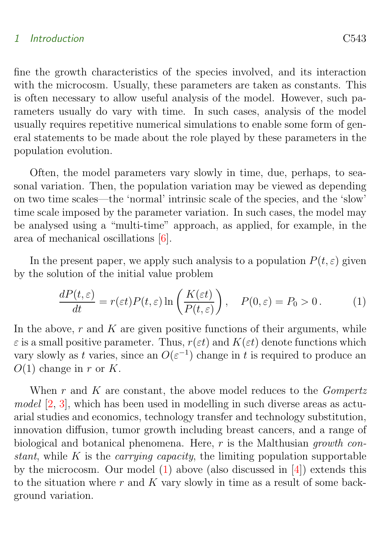#### <span id="page-2-1"></span>1 Introduction C543

fine the growth characteristics of the species involved, and its interaction with the microcosm. Usually, these parameters are taken as constants. This is often necessary to allow useful analysis of the model. However, such parameters usually do vary with time. In such cases, analysis of the model usually requires repetitive numerical simulations to enable some form of general statements to be made about the role played by these parameters in the population evolution.

Often, the model parameters vary slowly in time, due, perhaps, to seasonal variation. Then, the population variation may be viewed as depending on two time scales—the 'normal' intrinsic scale of the species, and the 'slow' time scale imposed by the parameter variation. In such cases, the model may be analysed using a "multi-time" approach, as applied, for example, in the area of mechanical oscillations [\[6\]](#page-13-1).

In the present paper, we apply such analysis to a population  $P(t, \varepsilon)$  given by the solution of the initial value problem

<span id="page-2-0"></span>
$$
\frac{dP(t,\varepsilon)}{dt} = r(\varepsilon t)P(t,\varepsilon)\ln\left(\frac{K(\varepsilon t)}{P(t,\varepsilon)}\right), \quad P(0,\varepsilon) = P_0 > 0. \tag{1}
$$

In the above,  $r$  and  $K$  are given positive functions of their arguments, while  $\varepsilon$  is a small positive parameter. Thus,  $r(\varepsilon t)$  and  $K(\varepsilon t)$  denote functions which vary slowly as t varies, since an  $O(\varepsilon^{-1})$  change in t is required to produce an  $O(1)$  change in r or K.

When  $r$  and  $K$  are constant, the above model reduces to the *Gompertz*  $model$  [\[2,](#page-13-2) [3\]](#page-13-3), which has been used in modelling in such diverse areas as actuarial studies and economics, technology transfer and technology substitution, innovation diffusion, tumor growth including breast cancers, and a range of biological and botanical phenomena. Here,  $r$  is the Malthusian growth constant, while K is the *carrying capacity*, the limiting population supportable by the microcosm. Our model  $(1)$  above (also discussed in  $[4]$ ) extends this to the situation where  $r$  and  $K$  vary slowly in time as a result of some background variation.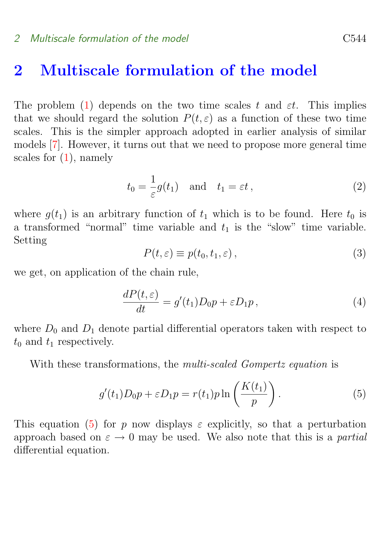### <span id="page-3-3"></span><span id="page-3-0"></span>2 Multiscale formulation of the model

The problem [\(1\)](#page-2-0) depends on the two time scales t and  $\varepsilon t$ . This implies that we should regard the solution  $P(t, \varepsilon)$  as a function of these two time scales. This is the simpler approach adopted in earlier analysis of similar models [\[7\]](#page-13-5). However, it turns out that we need to propose more general time scales for [\(1\)](#page-2-0), namely

$$
t_0 = \frac{1}{\varepsilon} g(t_1) \quad \text{and} \quad t_1 = \varepsilon t \,, \tag{2}
$$

where  $g(t_1)$  is an arbitrary function of  $t_1$  which is to be found. Here  $t_0$  is a transformed "normal" time variable and  $t_1$  is the "slow" time variable. Setting

$$
P(t,\varepsilon) \equiv p(t_0, t_1, \varepsilon), \qquad (3)
$$

we get, on application of the chain rule,

$$
\frac{dP(t,\varepsilon)}{dt} = g'(t_1)D_0p + \varepsilon D_1p\,,\tag{4}
$$

where  $D_0$  and  $D_1$  denote partial differential operators taken with respect to  $t_0$  and  $t_1$  respectively.

With these transformations, the *multi-scaled Gompertz equation* is

<span id="page-3-2"></span>
$$
g'(t_1)D_0p + \varepsilon D_1p = r(t_1)p\ln\left(\frac{K(t_1)}{p}\right). \tag{5}
$$

<span id="page-3-1"></span>This equation [\(5\)](#page-3-2) for p now displays  $\varepsilon$  explicitly, so that a perturbation approach based on  $\varepsilon \to 0$  may be used. We also note that this is a *partial* differential equation.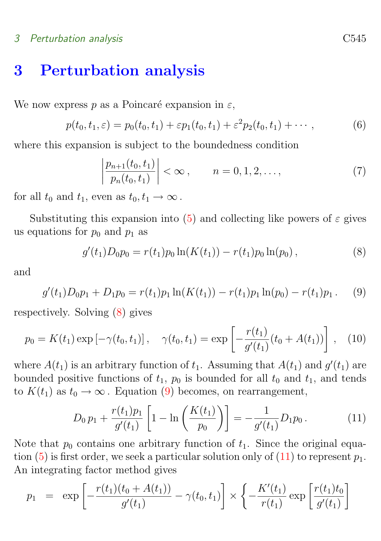#### 3 Perturbation analysis C545

## 3 Perturbation analysis

We now express p as a Poincaré expansion in  $\varepsilon$ ,

<span id="page-4-3"></span>
$$
p(t_0, t_1, \varepsilon) = p_0(t_0, t_1) + \varepsilon p_1(t_0, t_1) + \varepsilon^2 p_2(t_0, t_1) + \cdots,
$$
 (6)

where this expansion is subject to the boundedness condition

<span id="page-4-4"></span>
$$
\left|\frac{p_{n+1}(t_0, t_1)}{p_n(t_0, t_1)}\right| < \infty, \qquad n = 0, 1, 2, \dots,\tag{7}
$$

for all  $t_0$  and  $t_1$ , even as  $t_0, t_1 \rightarrow \infty$ .

Substituting this expansion into [\(5\)](#page-3-2) and collecting like powers of  $\varepsilon$  gives us equations for  $p_0$  and  $p_1$  as

<span id="page-4-0"></span>
$$
g'(t_1)D_0p_0 = r(t_1)p_0 \ln(K(t_1)) - r(t_1)p_0 \ln(p_0), \qquad (8)
$$

and

<span id="page-4-1"></span>
$$
g'(t_1)D_0p_1 + D_1p_0 = r(t_1)p_1\ln(K(t_1)) - r(t_1)p_1\ln(p_0) - r(t_1)p_1.
$$
 (9)

respectively. Solving [\(8\)](#page-4-0) gives

$$
p_0 = K(t_1) \exp \left[ -\gamma(t_0, t_1) \right], \quad \gamma(t_0, t_1) = \exp \left[ -\frac{r(t_1)}{g'(t_1)} (t_0 + A(t_1)) \right], \quad (10)
$$

where  $A(t_1)$  is an arbitrary function of  $t_1$ . Assuming that  $A(t_1)$  and  $g'(t_1)$  are bounded positive functions of  $t_1$ ,  $p_0$  is bounded for all  $t_0$  and  $t_1$ , and tends to  $K(t_1)$  as  $t_0 \to \infty$ . Equation [\(9\)](#page-4-1) becomes, on rearrangement,

<span id="page-4-2"></span>
$$
D_0 p_1 + \frac{r(t_1)p_1}{g'(t_1)} \left[ 1 - \ln\left(\frac{K(t_1)}{p_0}\right) \right] = -\frac{1}{g'(t_1)} D_1 p_0. \tag{11}
$$

Note that  $p_0$  contains one arbitrary function of  $t_1$ . Since the original equa-tion [\(5\)](#page-3-2) is first order, we seek a particular solution only of [\(11\)](#page-4-2) to represent  $p_1$ . An integrating factor method gives

$$
p_1 = \exp\left[-\frac{r(t_1)(t_0 + A(t_1))}{g'(t_1)} - \gamma(t_0, t_1)\right] \times \left\{-\frac{K'(t_1)}{r(t_1)}\exp\left[\frac{r(t_1)t_0}{g'(t_1)}\right]\right\}
$$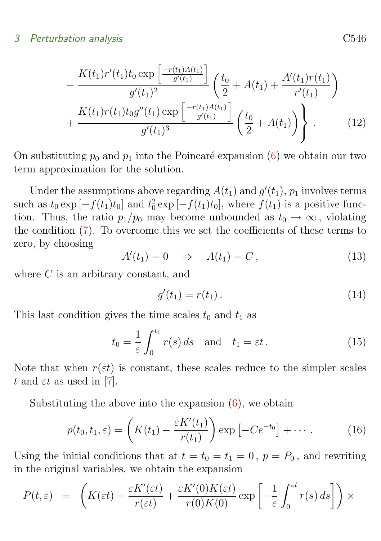#### <span id="page-5-1"></span>3 Perturbation analysis C546

$$
-\frac{K(t_1)r'(t_1)t_0\exp\left[\frac{-r(t_1)A(t_1)}{g'(t_1)}\right]}{g'(t_1)^2}\left(\frac{t_0}{2}+A(t_1)+\frac{A'(t_1)r(t_1)}{r'(t_1)}\right) + \frac{K(t_1)r(t_1)t_0g''(t_1)\exp\left[\frac{-r(t_1)A(t_1)}{g'(t_1)}\right]}{g'(t_1)^3}\left(\frac{t_0}{2}+A(t_1)\right)\right\}.
$$
 (12)

On substituting  $p_0$  and  $p_1$  into the Poincaré expansion [\(6\)](#page-4-3) we obtain our two term approximation for the solution.

Under the assumptions above regarding  $A(t_1)$  and  $g'(t_1)$ ,  $p_1$  involves terms such as  $t_0 \exp[-f(t_1)t_0]$  and  $t_0^2 \exp[-f(t_1)t_0]$ , where  $f(t_1)$  is a positive function. Thus, the ratio  $p_1/p_0$  may become unbounded as  $t_0 \to \infty$ , violating the condition [\(7\)](#page-4-4). To overcome this we set the coefficients of these terms to zero, by choosing

$$
A'(t_1) = 0 \quad \Rightarrow \quad A(t_1) = C \,, \tag{13}
$$

where C is an arbitrary constant, and

$$
g'(t_1) = r(t_1).
$$
 (14)

This last condition gives the time scales  $t_0$  and  $t_1$  as

$$
t_0 = \frac{1}{\varepsilon} \int_0^{t_1} r(s) \, ds \quad \text{and} \quad t_1 = \varepsilon t \,. \tag{15}
$$

Note that when  $r(\varepsilon t)$  is constant, these scales reduce to the simpler scales t and  $\varepsilon t$  as used in [\[7\]](#page-13-5).

Substituting the above into the expansion  $(6)$ , we obtain

$$
p(t_0, t_1, \varepsilon) = \left( K(t_1) - \frac{\varepsilon K'(t_1)}{r(t_1)} \right) \exp \left[ -Ce^{-t_0} \right] + \cdots \tag{16}
$$

Using the initial conditions that at  $t = t_0 = t_1 = 0$ ,  $p = P_0$ , and rewriting in the original variables, we obtain the expansion

<span id="page-5-0"></span>
$$
P(t,\varepsilon) = \left( K(\varepsilon t) - \frac{\varepsilon K'( \varepsilon t)}{r(\varepsilon t)} + \frac{\varepsilon K'(0)K(\varepsilon t)}{r(0)K(0)} \exp\left[ -\frac{1}{\varepsilon} \int_0^{\varepsilon t} r(s) \, ds \right] \right) \times
$$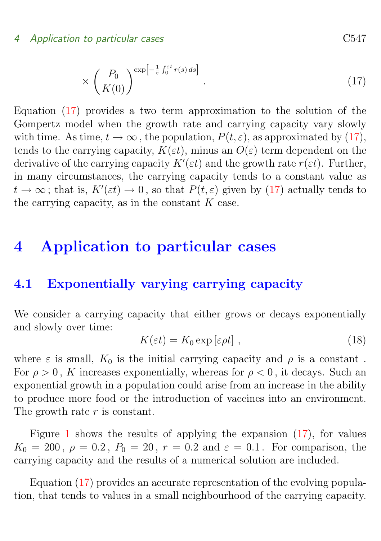#### 4 Application to particular cases C547

$$
\times \left(\frac{P_0}{K(0)}\right)^{\exp\left[-\frac{1}{\varepsilon}\int_0^{\varepsilon t} r(s) \, ds\right]}.
$$
\n
$$
(17)
$$

Equation [\(17\)](#page-5-0) provides a two term approximation to the solution of the Gompertz model when the growth rate and carrying capacity vary slowly with time. As time,  $t \to \infty$ , the population,  $P(t, \varepsilon)$ , as approximated by [\(17\)](#page-5-0), tends to the carrying capacity,  $K(\varepsilon t)$ , minus an  $O(\varepsilon)$  term dependent on the derivative of the carrying capacity  $K'(\varepsilon t)$  and the growth rate  $r(\varepsilon t)$ . Further, in many circumstances, the carrying capacity tends to a constant value as  $t \to \infty$ ; that is,  $K'(\varepsilon t) \to 0$ , so that  $P(t,\varepsilon)$  given by [\(17\)](#page-5-0) actually tends to the carrying capacity, as in the constant  $K$  case.

## <span id="page-6-0"></span>4 Application to particular cases

### <span id="page-6-1"></span>4.1 Exponentially varying carrying capacity

We consider a carrying capacity that either grows or decays exponentially and slowly over time:

$$
K(\varepsilon t) = K_0 \exp\left[\varepsilon \rho t\right],\tag{18}
$$

where  $\varepsilon$  is small,  $K_0$  is the initial carrying capacity and  $\rho$  is a constant. For  $\rho > 0$ , K increases exponentially, whereas for  $\rho < 0$ , it decays. Such an exponential growth in a population could arise from an increase in the ability to produce more food or the introduction of vaccines into an environment. The growth rate r is constant.

Figure [1](#page-7-0) shows the results of applying the expansion [\(17\)](#page-5-0), for values  $K_0 = 200, \ \rho = 0.2, \ P_0 = 20, \ r = 0.2$  and  $\varepsilon = 0.1$ . For comparison, the carrying capacity and the results of a numerical solution are included.

Equation [\(17\)](#page-5-0) provides an accurate representation of the evolving population, that tends to values in a small neighbourhood of the carrying capacity.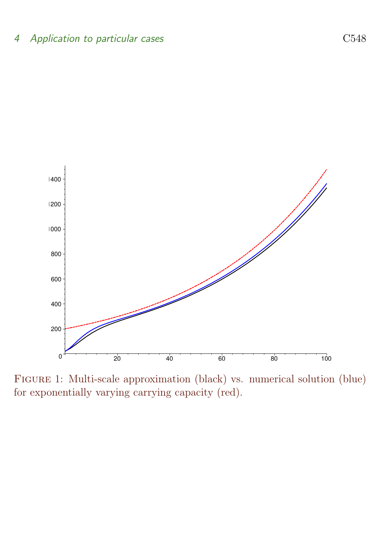

<span id="page-7-0"></span>Figure 1: Multi-scale approximation (black) vs. numerical solution (blue) for exponentially varying carrying capacity (red).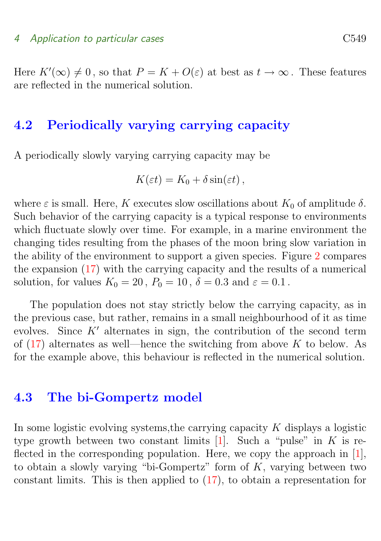<span id="page-8-2"></span>Here  $K'(\infty) \neq 0$ , so that  $P = K + O(\varepsilon)$  at best as  $t \to \infty$ . These features are reflected in the numerical solution.

### <span id="page-8-0"></span>4.2 Periodically varying carrying capacity

A periodically slowly varying carrying capacity may be

$$
K(\varepsilon t) = K_0 + \delta \sin(\varepsilon t),
$$

where  $\varepsilon$  is small. Here, K executes slow oscillations about  $K_0$  of amplitude  $\delta$ . Such behavior of the carrying capacity is a typical response to environments which fluctuate slowly over time. For example, in a marine environment the changing tides resulting from the phases of the moon bring slow variation in the ability of the environment to support a given species. Figure [2](#page-9-0) compares the expansion [\(17\)](#page-5-0) with the carrying capacity and the results of a numerical solution, for values  $K_0 = 20$ ,  $P_0 = 10$ ,  $\delta = 0.3$  and  $\varepsilon = 0.1$ .

The population does not stay strictly below the carrying capacity, as in the previous case, but rather, remains in a small neighbourhood of it as time evolves. Since  $K'$  alternates in sign, the contribution of the second term of  $(17)$  alternates as well—hence the switching from above K to below. As for the example above, this behaviour is reflected in the numerical solution.

### <span id="page-8-1"></span>4.3 The bi-Gompertz model

In some logistic evolving systems, the carrying capacity  $K$  displays a logistic type growth between two constant limits  $[1]$ . Such a "pulse" in K is re-flected in the corresponding population. Here, we copy the approach in [\[1\]](#page-13-6), to obtain a slowly varying "bi-Gompertz" form of  $K$ , varying between two constant limits. This is then applied to [\(17\)](#page-5-0), to obtain a representation for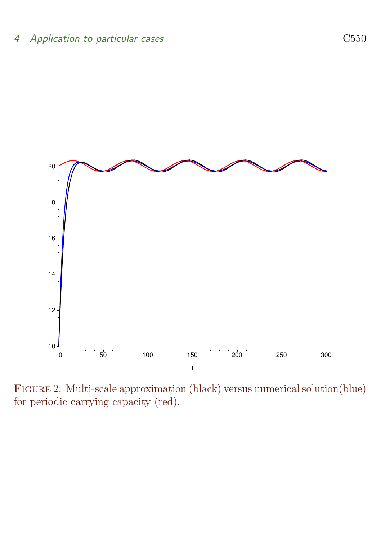

<span id="page-9-0"></span>Figure 2: Multi-scale approximation (black) versus numerical solution(blue) for periodic carrying capacity (red).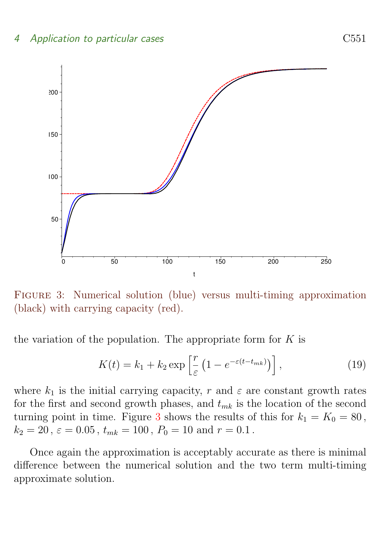#### 4 Application to particular cases C551



<span id="page-10-1"></span>Figure 3: Numerical solution (blue) versus multi-timing approximation (black) with carrying capacity (red).

the variation of the population. The appropriate form for  $K$  is

$$
K(t) = k_1 + k_2 \exp\left[\frac{r}{\varepsilon} \left(1 - e^{-\varepsilon(t - t_{mk})}\right)\right],\tag{19}
$$

where  $k_1$  is the initial carrying capacity, r and  $\varepsilon$  are constant growth rates for the first and second growth phases, and  $t_{mk}$  is the location of the second turning point in time. Figure [3](#page-10-1) shows the results of this for  $k_1 = K_0 = 80$ ,  $k_2 = 20$ ,  $\varepsilon = 0.05$ ,  $t_{mk} = 100$ ,  $P_0 = 10$  and  $r = 0.1$ .

<span id="page-10-0"></span>Once again the approximation is acceptably accurate as there is minimal difference between the numerical solution and the two term multi-timing approximate solution.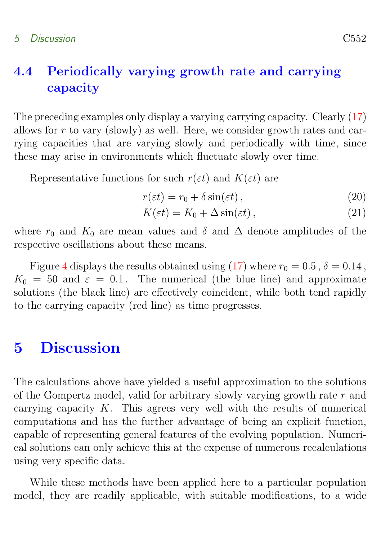## 4.4 Periodically varying growth rate and carrying capacity

The preceding examples only display a varying carrying capacity. Clearly [\(17\)](#page-5-0) allows for  $r$  to vary (slowly) as well. Here, we consider growth rates and carrying capacities that are varying slowly and periodically with time, since these may arise in environments which fluctuate slowly over time.

Representative functions for such  $r(\varepsilon t)$  and  $K(\varepsilon t)$  are

$$
r(\varepsilon t) = r_0 + \delta \sin(\varepsilon t) , \qquad (20)
$$

$$
K(\varepsilon t) = K_0 + \Delta \sin(\varepsilon t), \qquad (21)
$$

where  $r_0$  and  $K_0$  are mean values and  $\delta$  and  $\Delta$  denote amplitudes of the respective oscillations about these means.

Figure [4](#page-12-0) displays the results obtained using [\(17\)](#page-5-0) where  $r_0 = 0.5$ ,  $\delta = 0.14$ ,  $K_0 = 50$  and  $\varepsilon = 0.1$ . The numerical (the blue line) and approximate solutions (the black line) are effectively coincident, while both tend rapidly to the carrying capacity (red line) as time progresses.

## <span id="page-11-0"></span>5 Discussion

The calculations above have yielded a useful approximation to the solutions of the Gompertz model, valid for arbitrary slowly varying growth rate  $r$  and carrying capacity  $K$ . This agrees very well with the results of numerical computations and has the further advantage of being an explicit function, capable of representing general features of the evolving population. Numerical solutions can only achieve this at the expense of numerous recalculations using very specific data.

While these methods have been applied here to a particular population model, they are readily applicable, with suitable modifications, to a wide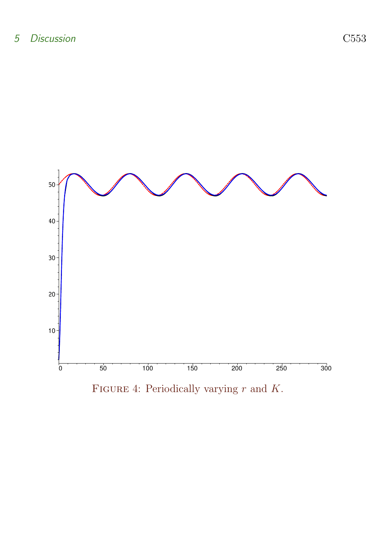

<span id="page-12-0"></span>FIGURE 4: Periodically varying  $r$  and  $K$ .